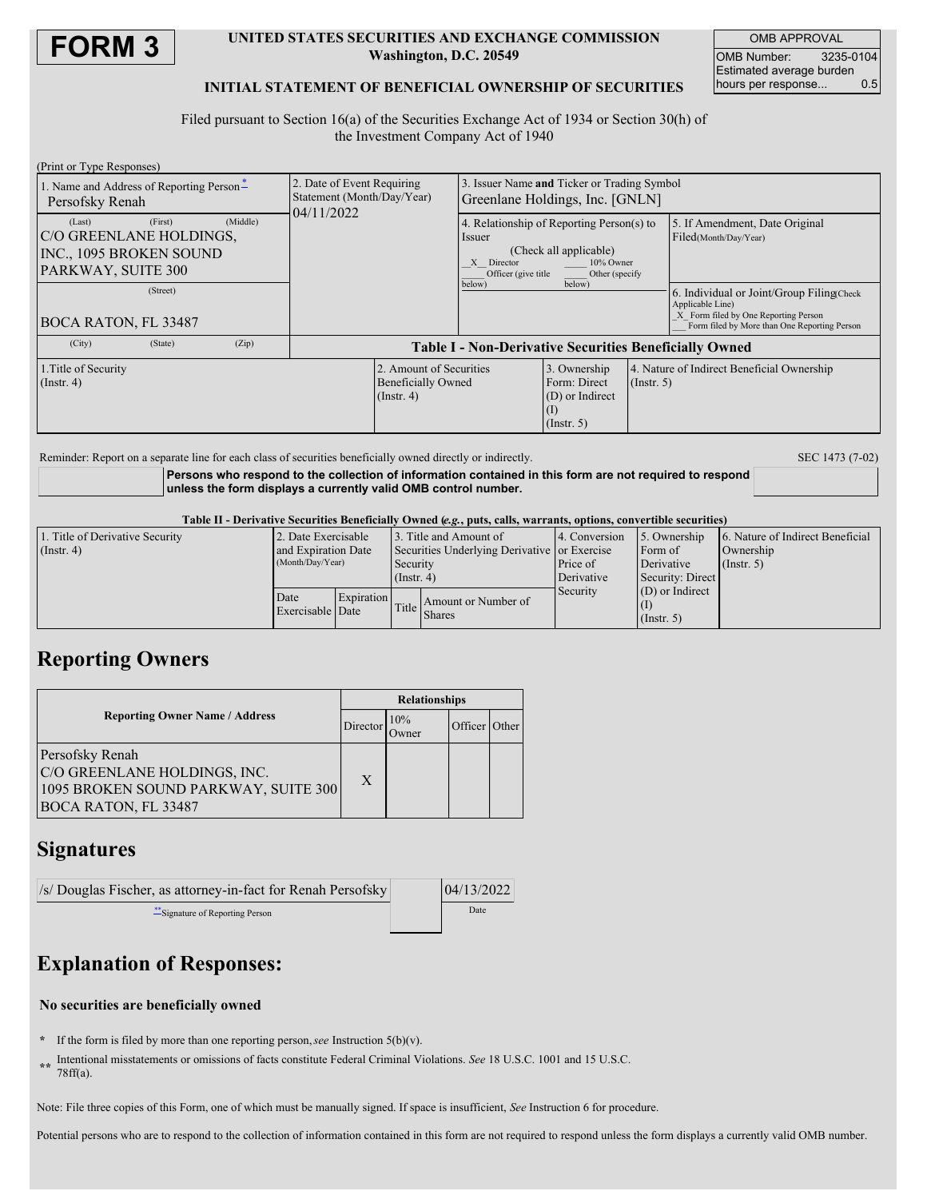

### **UNITED STATES SECURITIES AND EXCHANGE COMMISSION Washington, D.C. 20549**

OMB APPROVAL OMB Number: 3235-0104 Estimated average burden<br>hours per response... 0.5 hours per response...

### **INITIAL STATEMENT OF BENEFICIAL OWNERSHIP OF SECURITIES**

Filed pursuant to Section 16(a) of the Securities Exchange Act of 1934 or Section 30(h) of the Investment Company Act of 1940

| (Print or Type Responses)                                                                                                                            |                                                                        |                                                                             |                                                                                                              |             |                                                                                                                                                                                                                  |  |
|------------------------------------------------------------------------------------------------------------------------------------------------------|------------------------------------------------------------------------|-----------------------------------------------------------------------------|--------------------------------------------------------------------------------------------------------------|-------------|------------------------------------------------------------------------------------------------------------------------------------------------------------------------------------------------------------------|--|
| 1. Name and Address of Reporting Person-<br>Persofsky Renah                                                                                          | 2. Date of Event Requiring<br>Statement (Month/Day/Year)<br>04/11/2022 | Issuer Name and Ticker or Trading Symbol<br>Greenlane Holdings, Inc. [GNLN] |                                                                                                              |             |                                                                                                                                                                                                                  |  |
| (First)<br>(Middle)<br>(Last)<br>C/O GREENLANE HOLDINGS.<br>INC., 1095 BROKEN SOUND<br>PARKWAY, SUITE 300<br>(Street)<br><b>BOCA RATON, FL 33487</b> |                                                                        | Issuer<br>X Director<br>Officer (give title)<br>below)                      | 4. Relationship of Reporting Person(s) to<br>(Check all applicable)<br>10% Owner<br>Other (specify<br>below) |             | 5. If Amendment, Date Original<br>Filed(Month/Day/Year)<br>6. Individual or Joint/Group Filing Check<br>Applicable Line)<br>X Form filed by One Reporting Person<br>Form filed by More than One Reporting Person |  |
| (City)<br>(Zip)<br>(State)                                                                                                                           | <b>Table I - Non-Derivative Securities Beneficially Owned</b>          |                                                                             |                                                                                                              |             |                                                                                                                                                                                                                  |  |
| 2. Amount of Securities<br>1. Title of Security<br><b>Beneficially Owned</b><br>$($ Instr. 4 $)$<br>$($ Instr. 4 $)$                                 |                                                                        |                                                                             | 3. Ownership<br>Form: Direct<br>(D) or Indirect<br>$\left(1\right)$<br>(Insert. 5)                           | (Insert, 5) | 4. Nature of Indirect Beneficial Ownership                                                                                                                                                                       |  |

Reminder: Report on a separate line for each class of securities beneficially owned directly or indirectly. SEC 1473 (7-02)

**Persons who respond to the collection of information contained in this form are not required to respond unless the form displays a currently valid OMB control number.**

### Table II - Derivative Securities Beneficially Owned (e.g., puts, calls, warrants, options, convertible securities)

| 1. Title of Derivative Security | 2. Date Exercisable                     |  |                                                            | 13. Title and Amount of | 4. Conversion | 5. Ownership      | 6. Nature of Indirect Beneficial |  |
|---------------------------------|-----------------------------------------|--|------------------------------------------------------------|-------------------------|---------------|-------------------|----------------------------------|--|
| (Insert 4)                      | and Expiration Date<br>(Month/Day/Year) |  | Securities Underlying Derivative or Exercise               |                         |               | Form of           | Ownership                        |  |
|                                 |                                         |  | Security                                                   |                         | Price of      | Derivative        | $($ Instr. 5 $)$                 |  |
|                                 |                                         |  | $($ Instr. 4 $)$                                           |                         | Derivative    | Security: Direct  |                                  |  |
|                                 | Date<br>Exercisable Date                |  | Expiration<br>$\left \right $ Title $\left \right $ Shares |                         | Security      | $(D)$ or Indirect |                                  |  |
|                                 |                                         |  |                                                            | Amount or Number of     |               |                   |                                  |  |
|                                 |                                         |  |                                                            |                         |               | (Insert, 5)       |                                  |  |

## **Reporting Owners**

|                                                                                                                        | <b>Relationships</b> |                      |               |  |  |
|------------------------------------------------------------------------------------------------------------------------|----------------------|----------------------|---------------|--|--|
| <b>Reporting Owner Name / Address</b>                                                                                  | Director             | 10%<br><b>J</b> wner | Officer Other |  |  |
| Persofsky Renah<br>C/O GREENLANE HOLDINGS, INC.<br>1095 BROKEN SOUND PARKWAY, SUITE 300<br><b>BOCA RATON, FL 33487</b> | X                    |                      |               |  |  |

### **Signatures**

| /s/ Douglas Fischer, as attorney-in-fact for Renah Persofsky |  | 04/13/2022 |  |
|--------------------------------------------------------------|--|------------|--|
| Signature of Reporting Person                                |  | Date       |  |

# **Explanation of Responses:**

### **No securities are beneficially owned**

- **\*** If the form is filed by more than one reporting person,*see* Instruction 5(b)(v).
- **\*\*** Intentional misstatements or omissions of facts constitute Federal Criminal Violations. *See* 18 U.S.C. 1001 and 15 U.S.C. 78ff(a).

Note: File three copies of this Form, one of which must be manually signed. If space is insufficient, *See* Instruction 6 for procedure.

Potential persons who are to respond to the collection of information contained in this form are not required to respond unless the form displays a currently valid OMB number.